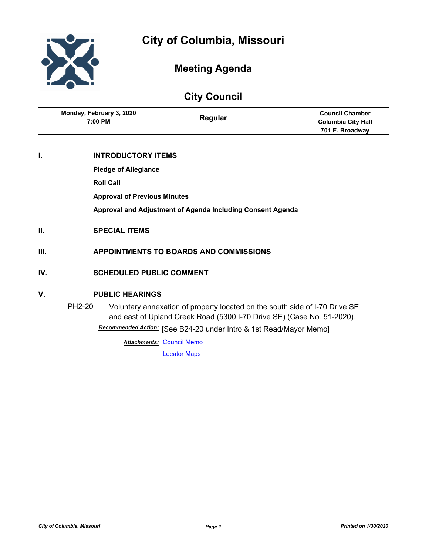

## **Meeting Agenda**

# **City Council**

| Monday, February 3, 2020<br>7:00 PM | Regular | <b>Council Chamber</b><br><b>Columbia City Hall</b> |
|-------------------------------------|---------|-----------------------------------------------------|
|                                     |         | 701 E. Broadway                                     |

## **I. INTRODUCTORY ITEMS**

**Pledge of Allegiance**

**Roll Call**

**Approval of Previous Minutes**

**Approval and Adjustment of Agenda Including Consent Agenda**

- **II. SPECIAL ITEMS**
- **III. APPOINTMENTS TO BOARDS AND COMMISSIONS**
- **IV. SCHEDULED PUBLIC COMMENT**

## **V. PUBLIC HEARINGS**

PH2-20 Voluntary annexation of property located on the south side of I-70 Drive SE and east of Upland Creek Road (5300 I-70 Drive SE) (Case No. 51-2020). Recommended Action: [See B24-20 under Intro & 1st Read/Mayor Memo]

**Attachments: [Council Memo](http://gocolumbiamo.legistar.com/gateway.aspx?M=F&ID=3ceac6ec-30ab-4b77-a36f-98974f4a54c0.docx)** 

[Locator Maps](http://gocolumbiamo.legistar.com/gateway.aspx?M=F&ID=caac6e5b-288e-4d56-88e7-20c4f7375f2c.pdf)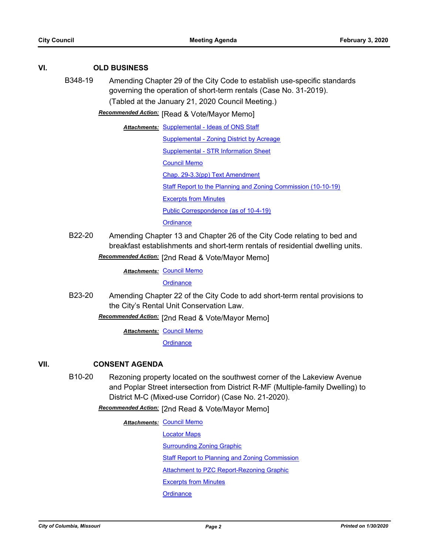## **VI. OLD BUSINESS**

B348-19 Amending Chapter 29 of the City Code to establish use-specific standards governing the operation of short-term rentals (Case No. 31-2019). (Tabled at the January 21, 2020 Council Meeting.)

**Recommended Action:** [Read & Vote/Mayor Memo]

Attachments: [Supplemental - Ideas of ONS Staff](http://gocolumbiamo.legistar.com/gateway.aspx?M=F&ID=ea37f915-0b83-45cb-98d7-4bfa8247817f.pdf)

[Supplemental - Zoning District by Acreage](http://gocolumbiamo.legistar.com/gateway.aspx?M=F&ID=540d45c2-094a-438c-9a74-4539e58553d8.pdf) [Supplemental - STR Information Sheet](http://gocolumbiamo.legistar.com/gateway.aspx?M=F&ID=111f62fd-d578-49b4-9cef-89fd00b1a59e.docx) [Council Memo](http://gocolumbiamo.legistar.com/gateway.aspx?M=F&ID=0b07c885-95f9-4ed5-9824-cf5f7841d4ee.docx) [Chap. 29-3.3\(pp\) Text Amendment](http://gocolumbiamo.legistar.com/gateway.aspx?M=F&ID=877a6665-a6ed-477a-86ba-3d4cddd36f76.pdf) [Staff Report to the Planning and Zoning Commission \(10-10-19\)](http://gocolumbiamo.legistar.com/gateway.aspx?M=F&ID=5f717cc8-5b0c-4fac-9653-c6d9ad0072f9.docx) **[Excerpts from Minutes](http://gocolumbiamo.legistar.com/gateway.aspx?M=F&ID=154747de-fb34-473d-9c50-6cb643fbaebf.docx)** [Public Correspondence \(as of 10-4-19\)](http://gocolumbiamo.legistar.com/gateway.aspx?M=F&ID=89cfd37f-a6b4-4ab5-a2fd-349cb1ad3575.pdf) **[Ordinance](http://gocolumbiamo.legistar.com/gateway.aspx?M=F&ID=b11c31d6-dcb3-42ed-b8a0-1500fb198288.doc)** 

B22-20 Amending Chapter 13 and Chapter 26 of the City Code relating to bed and breakfast establishments and short-term rentals of residential dwelling units.

Recommended Action: [2nd Read & Vote/Mayor Memo]

**Attachments: [Council Memo](http://gocolumbiamo.legistar.com/gateway.aspx?M=F&ID=3a78bf8a-03f4-48d0-9910-5ff563f49f7a.docx)** 

**[Ordinance](http://gocolumbiamo.legistar.com/gateway.aspx?M=F&ID=bc3e4700-0f2f-4a52-887d-8123802c18ab.doc)** 

B23-20 Amending Chapter 22 of the City Code to add short-term rental provisions to the City's Rental Unit Conservation Law.

[2nd Read & Vote/Mayor Memo] *Recommended Action:*

**Attachments: [Council Memo](http://gocolumbiamo.legistar.com/gateway.aspx?M=F&ID=57507694-60ab-4129-970a-85bb85f12024.docx)** 

**[Ordinance](http://gocolumbiamo.legistar.com/gateway.aspx?M=F&ID=b242b6d9-8854-4b71-a991-d3d33f6ebca5.doc)** 

## **VII. CONSENT AGENDA**

B10-20 Rezoning property located on the southwest corner of the Lakeview Avenue and Poplar Street intersection from District R-MF (Multiple-family Dwelling) to District M-C (Mixed-use Corridor) (Case No. 21-2020).

Recommended Action: [2nd Read & Vote/Mayor Memo]

#### **Attachments: [Council Memo](http://gocolumbiamo.legistar.com/gateway.aspx?M=F&ID=35967e11-391e-4163-83cb-93201795117f.docx)**

[Locator Maps](http://gocolumbiamo.legistar.com/gateway.aspx?M=F&ID=33a268aa-d012-4809-af27-e328c0cdd7c3.pdf)

[Surrounding Zoning Graphic](http://gocolumbiamo.legistar.com/gateway.aspx?M=F&ID=c62c88b4-ca45-445a-a3f3-edeecce40d7a.docx)

**[Staff Report to Planning and Zoning Commission](http://gocolumbiamo.legistar.com/gateway.aspx?M=F&ID=992bd760-8ebe-4105-8c74-965dcb599553.docx)** 

**[Attachment to PZC Report-Rezoning Graphic](http://gocolumbiamo.legistar.com/gateway.aspx?M=F&ID=ea5427a6-8ca5-4b67-bdb1-7c80612127c9.pdf)** 

[Excerpts from Minutes](http://gocolumbiamo.legistar.com/gateway.aspx?M=F&ID=b98c830b-0e31-4a7d-894f-7033bd067065.docx)

**[Ordinance](http://gocolumbiamo.legistar.com/gateway.aspx?M=F&ID=056472e0-8b82-454b-b085-5761f339d877.doc)**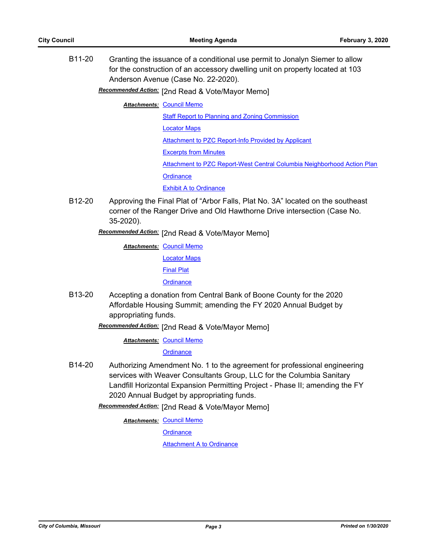B11-20 Granting the issuance of a conditional use permit to Jonalyn Siemer to allow for the construction of an accessory dwelling unit on property located at 103 Anderson Avenue (Case No. 22-2020).

Recommended Action: [2nd Read & Vote/Mayor Memo]

**Attachments: [Council Memo](http://gocolumbiamo.legistar.com/gateway.aspx?M=F&ID=70734737-1102-442a-86cf-bb7434d1df8a.docx)** 

[Staff Report to Planning and Zoning Commission](http://gocolumbiamo.legistar.com/gateway.aspx?M=F&ID=679b508c-3d09-49eb-9f05-6a0744c101c9.docx)

[Locator Maps](http://gocolumbiamo.legistar.com/gateway.aspx?M=F&ID=974b3216-5d2f-42ad-bfa6-e4451e1c0113.pdf)

[Attachment to PZC Report-Info Provided by Applicant](http://gocolumbiamo.legistar.com/gateway.aspx?M=F&ID=e98f5537-1bb1-4372-bcf5-818ac3563eb1.pdf)

[Excerpts from Minutes](http://gocolumbiamo.legistar.com/gateway.aspx?M=F&ID=537de609-1cb4-4d8e-9c63-42528f8ca583.docx)

[Attachment to PZC Report-West Central Columbia Neighborhood Action Plan](http://gocolumbiamo.legistar.com/gateway.aspx?M=F&ID=ee53c0f8-a15d-487b-b4a9-8d6f1680cd96.pdf)

**[Ordinance](http://gocolumbiamo.legistar.com/gateway.aspx?M=F&ID=bab57c51-5e67-4c41-90ff-76e613121220.doc)** 

**[Exhibit A to Ordinance](http://gocolumbiamo.legistar.com/gateway.aspx?M=F&ID=7b9e8309-a925-48e7-aaf0-61e7a48c322a.docx)** 

B12-20 Approving the Final Plat of "Arbor Falls, Plat No. 3A" located on the southeast corner of the Ranger Drive and Old Hawthorne Drive intersection (Case No. 35-2020).

Recommended Action: [2nd Read & Vote/Mayor Memo]

- **Attachments: [Council Memo](http://gocolumbiamo.legistar.com/gateway.aspx?M=F&ID=e4e087b3-6d08-4288-8e1d-0cf163e64f98.docx)** [Locator Maps](http://gocolumbiamo.legistar.com/gateway.aspx?M=F&ID=9c3cc573-a3ba-4e2f-aad5-2dfc7ecb0979.pdf) [Final Plat](http://gocolumbiamo.legistar.com/gateway.aspx?M=F&ID=c1d0d67d-38a6-4d44-bef8-5befe0d22a53.pdf) **[Ordinance](http://gocolumbiamo.legistar.com/gateway.aspx?M=F&ID=23ad3f6f-ff57-4964-bdc7-2ab110bae2b2.doc)**
- B13-20 Accepting a donation from Central Bank of Boone County for the 2020 Affordable Housing Summit; amending the FY 2020 Annual Budget by appropriating funds.

Recommended Action: [2nd Read & Vote/Mayor Memo]

**Attachments: [Council Memo](http://gocolumbiamo.legistar.com/gateway.aspx?M=F&ID=5a2c27fb-a4b8-4825-a592-f9004f29eb88.docx)** 

**[Ordinance](http://gocolumbiamo.legistar.com/gateway.aspx?M=F&ID=2a1c7287-503b-43ce-91be-1919e4975db3.doc)** 

B14-20 Authorizing Amendment No. 1 to the agreement for professional engineering services with Weaver Consultants Group, LLC for the Columbia Sanitary Landfill Horizontal Expansion Permitting Project - Phase II; amending the FY 2020 Annual Budget by appropriating funds.

[2nd Read & Vote/Mayor Memo] *Recommended Action:*

**Attachments: [Council Memo](http://gocolumbiamo.legistar.com/gateway.aspx?M=F&ID=32c28dd8-cd01-46ac-a053-134f8c1e579b.docx)** 

**[Ordinance](http://gocolumbiamo.legistar.com/gateway.aspx?M=F&ID=4b8f7727-8241-4b94-91ed-16752c8f9436.doc)** 

[Attachment A to Ordinance](http://gocolumbiamo.legistar.com/gateway.aspx?M=F&ID=03f6f19c-b679-407b-9262-5a95635a6391.pdf)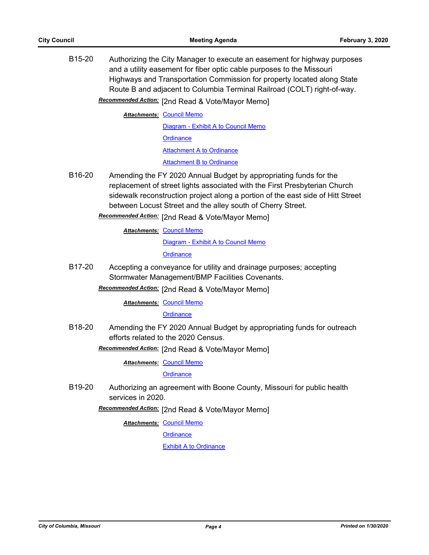B15-20 Authorizing the City Manager to execute an easement for highway purposes and a utility easement for fiber optic cable purposes to the Missouri Highways and Transportation Commission for property located along State Route B and adjacent to Columbia Terminal Railroad (COLT) right-of-way.

Recommended Action: [2nd Read & Vote/Mayor Memo]

**Attachments: [Council Memo](http://gocolumbiamo.legistar.com/gateway.aspx?M=F&ID=fe63e628-4f14-43a6-abb2-adf971192148.docx)** 

[Diagram - Exhibit A to Council Memo](http://gocolumbiamo.legistar.com/gateway.aspx?M=F&ID=927ae14c-c724-47a0-95d3-e73aae9bfe67.pdf) **[Ordinance](http://gocolumbiamo.legistar.com/gateway.aspx?M=F&ID=1c080d76-44d5-4a9b-aec2-fe239be22d0d.doc)** [Attachment A to Ordinance](http://gocolumbiamo.legistar.com/gateway.aspx?M=F&ID=1dd2b4a2-8334-4ee3-b725-43d8b2c11640.pdf) [Attachment B to Ordinance](http://gocolumbiamo.legistar.com/gateway.aspx?M=F&ID=bdd96224-544f-4d9a-9dc8-20c739507cdf.pdf)

B16-20 Amending the FY 2020 Annual Budget by appropriating funds for the replacement of street lights associated with the First Presbyterian Church sidewalk reconstruction project along a portion of the east side of Hitt Street between Locust Street and the alley south of Cherry Street.

Recommended Action: [2nd Read & Vote/Mayor Memo]

**Attachments: [Council Memo](http://gocolumbiamo.legistar.com/gateway.aspx?M=F&ID=4c9f4b4d-631a-4a32-b729-d98d46bdf17a.docx)** [Diagram - Exhibit A to Council Memo](http://gocolumbiamo.legistar.com/gateway.aspx?M=F&ID=7d10ce72-ae85-4674-9df9-a303bbc64e63.pdf) **[Ordinance](http://gocolumbiamo.legistar.com/gateway.aspx?M=F&ID=84fa6a99-4743-46fd-8509-0131af9c1a82.doc)** 

B17-20 Accepting a conveyance for utility and drainage purposes; accepting Stormwater Management/BMP Facilities Covenants.

Recommended Action: [2nd Read & Vote/Mayor Memo]

#### **Attachments: [Council Memo](http://gocolumbiamo.legistar.com/gateway.aspx?M=F&ID=6908d7cb-570e-4dab-b73d-7a8e0ceb3f74.docx)**

#### **[Ordinance](http://gocolumbiamo.legistar.com/gateway.aspx?M=F&ID=ead458f5-2975-4fb7-b441-850e5f808563.doc)**

B18-20 Amending the FY 2020 Annual Budget by appropriating funds for outreach efforts related to the 2020 Census.

Recommended Action: [2nd Read & Vote/Mayor Memo]

**Attachments: [Council Memo](http://gocolumbiamo.legistar.com/gateway.aspx?M=F&ID=457faeda-2591-4716-895d-9af5450b1591.docx)** 

**[Ordinance](http://gocolumbiamo.legistar.com/gateway.aspx?M=F&ID=9286b12f-84c1-4c53-9e23-912d364fb76f.doc)** 

B19-20 Authorizing an agreement with Boone County, Missouri for public health services in 2020.

[2nd Read & Vote/Mayor Memo] *Recommended Action:*

**Attachments: [Council Memo](http://gocolumbiamo.legistar.com/gateway.aspx?M=F&ID=0cff96f0-dc14-4de6-9ba3-7d4266e8d3c1.docx)** 

**[Ordinance](http://gocolumbiamo.legistar.com/gateway.aspx?M=F&ID=196886a2-7915-4dd0-95b3-ffd66e5f8cfc.doc)** 

[Exhibit A to Ordinance](http://gocolumbiamo.legistar.com/gateway.aspx?M=F&ID=b3db8051-8864-41b8-aac7-0759b354cb99.pdf)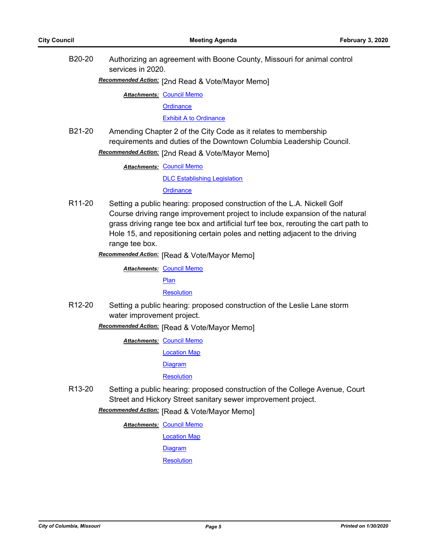B20-20 Authorizing an agreement with Boone County, Missouri for animal control services in 2020.

[2nd Read & Vote/Mayor Memo] *Recommended Action:*

**Attachments: [Council Memo](http://gocolumbiamo.legistar.com/gateway.aspx?M=F&ID=a563f103-d934-4fc1-bd8b-e4a8881896ec.docx)** 

**[Ordinance](http://gocolumbiamo.legistar.com/gateway.aspx?M=F&ID=8bbe9659-5d9c-4491-8a7a-5e9aed417b5e.doc)** 

[Exhibit A to Ordinance](http://gocolumbiamo.legistar.com/gateway.aspx?M=F&ID=b4ad49a9-28d2-45a3-ad24-d56c5682831c.pdf)

B21-20 Amending Chapter 2 of the City Code as it relates to membership requirements and duties of the Downtown Columbia Leadership Council. Recommended Action: [2nd Read & Vote/Mayor Memo]

**Attachments: [Council Memo](http://gocolumbiamo.legistar.com/gateway.aspx?M=F&ID=6deab059-0a71-403d-870e-5919166139c9.docx)** 

[DLC Establishing Legislation](http://gocolumbiamo.legistar.com/gateway.aspx?M=F&ID=f6ac0e22-9dfc-477b-a5c4-0cca8355cc98.pdf)

**[Ordinance](http://gocolumbiamo.legistar.com/gateway.aspx?M=F&ID=9cd8ac27-7fe5-4bce-a6f5-d63e772dd039.doc)** 

R11-20 Setting a public hearing: proposed construction of the L.A. Nickell Golf Course driving range improvement project to include expansion of the natural grass driving range tee box and artificial turf tee box, rerouting the cart path to Hole 15, and repositioning certain poles and netting adjacent to the driving range tee box.

**Recommended Action:** [Read & Vote/Mayor Memo]

**Attachments: [Council Memo](http://gocolumbiamo.legistar.com/gateway.aspx?M=F&ID=b1dec54b-c2e1-43ea-b7e7-f97ff8ddb3c1.docx)** 

[Plan](http://gocolumbiamo.legistar.com/gateway.aspx?M=F&ID=bdec97c8-794c-4ea3-b83c-e66c58985958.pdf)

#### **[Resolution](http://gocolumbiamo.legistar.com/gateway.aspx?M=F&ID=7aaeeea6-b226-4dc7-ab33-fda2f77dd0cf.doc)**

R12-20 Setting a public hearing: proposed construction of the Leslie Lane storm water improvement project.

**Recommended Action:** [Read & Vote/Mayor Memo]

**Attachments: [Council Memo](http://gocolumbiamo.legistar.com/gateway.aspx?M=F&ID=8f03af70-4a6e-4f67-939d-789ba19e53f3.docx)** 

[Location Map](http://gocolumbiamo.legistar.com/gateway.aspx?M=F&ID=f23d66a1-0cd3-4e9b-94e4-47d2043a7d96.pdf)

**[Diagram](http://gocolumbiamo.legistar.com/gateway.aspx?M=F&ID=1968ad9d-bcaf-403d-a63f-d8a82b2157bd.pdf)** 

**[Resolution](http://gocolumbiamo.legistar.com/gateway.aspx?M=F&ID=4477925b-c12f-4e71-ad04-50cbf9e71ebf.doc)** 

R13-20 Setting a public hearing: proposed construction of the College Avenue, Court Street and Hickory Street sanitary sewer improvement project.

**Recommended Action:** [Read & Vote/Mayor Memo]

**Attachments: [Council Memo](http://gocolumbiamo.legistar.com/gateway.aspx?M=F&ID=72be8c81-3779-4ddc-8c98-6ff822217f4c.docx)** 

[Location Map](http://gocolumbiamo.legistar.com/gateway.aspx?M=F&ID=9ec4659a-1616-4b3b-bfd5-5a2598a4014b.pdf)

[Diagram](http://gocolumbiamo.legistar.com/gateway.aspx?M=F&ID=88118110-a269-4549-85d4-3378b230cddc.pdf)

**[Resolution](http://gocolumbiamo.legistar.com/gateway.aspx?M=F&ID=f7f88702-775f-401b-be6c-04e17e9e40f7.doc)**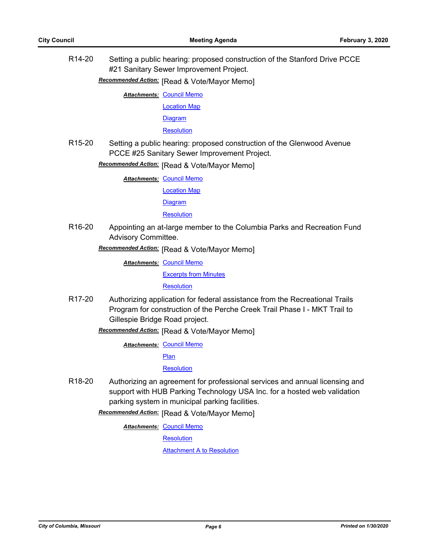R14-20 Setting a public hearing: proposed construction of the Stanford Drive PCCE #21 Sanitary Sewer Improvement Project.

**Recommended Action:** [Read & Vote/Mayor Memo]

**Attachments: [Council Memo](http://gocolumbiamo.legistar.com/gateway.aspx?M=F&ID=60bc497c-7a17-4d9f-b787-ef5216f95143.docx)** 

[Location Map](http://gocolumbiamo.legistar.com/gateway.aspx?M=F&ID=359be300-93e6-4d4c-9768-79a4279d0010.pdf)

**[Diagram](http://gocolumbiamo.legistar.com/gateway.aspx?M=F&ID=dd3a8655-d9e5-4828-87be-18961684a674.pdf)** 

**[Resolution](http://gocolumbiamo.legistar.com/gateway.aspx?M=F&ID=8df1c363-2527-43b8-91a9-d25d06c32e7a.doc)** 

R15-20 Setting a public hearing: proposed construction of the Glenwood Avenue PCCE #25 Sanitary Sewer Improvement Project.

**Recommended Action:** [Read & Vote/Mayor Memo]

**Attachments: [Council Memo](http://gocolumbiamo.legistar.com/gateway.aspx?M=F&ID=301ce4d9-9794-404b-8961-79de7458be01.docx)** 

[Location Map](http://gocolumbiamo.legistar.com/gateway.aspx?M=F&ID=45ab00c0-aa8e-4f7d-b6a8-e35bd8af9050.pdf)

**[Diagram](http://gocolumbiamo.legistar.com/gateway.aspx?M=F&ID=f52a3cb3-ac5c-4f47-adea-72846d6d13e4.pdf)** 

**[Resolution](http://gocolumbiamo.legistar.com/gateway.aspx?M=F&ID=f73d6b6f-7635-490c-932c-8f561a8c4a4b.doc)** 

R16-20 Appointing an at-large member to the Columbia Parks and Recreation Fund Advisory Committee.

**Recommended Action:** [Read & Vote/Mayor Memo]

**Attachments: [Council Memo](http://gocolumbiamo.legistar.com/gateway.aspx?M=F&ID=96a2abfd-c687-4bb2-b534-a5814add6bb1.docx)** 

[Excerpts from Minutes](http://gocolumbiamo.legistar.com/gateway.aspx?M=F&ID=c20cdafb-29ed-4fa6-919d-ae0c2e184008.docx)

**[Resolution](http://gocolumbiamo.legistar.com/gateway.aspx?M=F&ID=085fd24a-ffde-4e2c-9cc1-3c429c66eb8b.doc)** 

R17-20 Authorizing application for federal assistance from the Recreational Trails Program for construction of the Perche Creek Trail Phase I - MKT Trail to Gillespie Bridge Road project.

**Recommended Action:** [Read & Vote/Mayor Memo]

**Attachments: [Council Memo](http://gocolumbiamo.legistar.com/gateway.aspx?M=F&ID=db2b4595-3a9c-4e06-b20a-1d7864333da0.docx)** 

[Plan](http://gocolumbiamo.legistar.com/gateway.aspx?M=F&ID=8cd559b9-ee24-44de-9f15-169ade1ebbfb.pdf)

**[Resolution](http://gocolumbiamo.legistar.com/gateway.aspx?M=F&ID=fb7d7911-9d7e-439d-b982-247af9fad33e.doc)** 

R18-20 Authorizing an agreement for professional services and annual licensing and support with HUB Parking Technology USA Inc. for a hosted web validation parking system in municipal parking facilities.

**Recommended Action:** [Read & Vote/Mayor Memo]

**Attachments: [Council Memo](http://gocolumbiamo.legistar.com/gateway.aspx?M=F&ID=527ec74b-1984-422e-aadf-b2f5be1cdd44.docx)** 

**[Resolution](http://gocolumbiamo.legistar.com/gateway.aspx?M=F&ID=e1ae5a5b-93e4-4f80-89d1-464b1dfcec6c.doc)** 

[Attachment A to Resolution](http://gocolumbiamo.legistar.com/gateway.aspx?M=F&ID=783d1f0a-43c7-4abb-ba94-ec0884e6c6f9.pdf)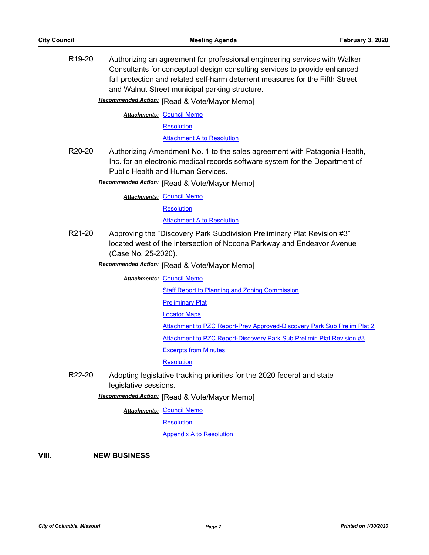R19-20 Authorizing an agreement for professional engineering services with Walker Consultants for conceptual design consulting services to provide enhanced fall protection and related self-harm deterrent measures for the Fifth Street and Walnut Street municipal parking structure.

**Recommended Action:** [Read & Vote/Mayor Memo]

**Attachments: [Council Memo](http://gocolumbiamo.legistar.com/gateway.aspx?M=F&ID=9b5d1038-7cfa-49fc-b0af-bafc129b223b.docx)** 

**[Resolution](http://gocolumbiamo.legistar.com/gateway.aspx?M=F&ID=fde872cf-8123-4018-ab94-e60de891d810.doc)** 

[Attachment A to Resolution](http://gocolumbiamo.legistar.com/gateway.aspx?M=F&ID=2cd14d8a-1a12-4383-9343-4716a8b9fd17.pdf)

R20-20 Authorizing Amendment No. 1 to the sales agreement with Patagonia Health, Inc. for an electronic medical records software system for the Department of Public Health and Human Services.

**Recommended Action:** [Read & Vote/Mayor Memo]

**Attachments: [Council Memo](http://gocolumbiamo.legistar.com/gateway.aspx?M=F&ID=4e39c413-be0c-4c8e-8a7e-0e91775d6d32.docx)** 

**[Resolution](http://gocolumbiamo.legistar.com/gateway.aspx?M=F&ID=132b3b6d-1cdc-4d35-92ca-15e4836745be.doc)** 

**[Attachment A to Resolution](http://gocolumbiamo.legistar.com/gateway.aspx?M=F&ID=cb52fc3e-1a7d-451c-9556-5c1a765667ce.pdf)** 

R21-20 Approving the "Discovery Park Subdivision Preliminary Plat Revision #3" located west of the intersection of Nocona Parkway and Endeavor Avenue (Case No. 25-2020).

**Recommended Action:** [Read & Vote/Mayor Memo]

**Attachments: [Council Memo](http://gocolumbiamo.legistar.com/gateway.aspx?M=F&ID=c41ddd32-b736-44f0-b90e-5215f949e178.docx)** 

[Staff Report to Planning and Zoning Commission](http://gocolumbiamo.legistar.com/gateway.aspx?M=F&ID=05655807-7e68-4599-8ad5-163aeb4fd9a7.docx)

- **[Preliminary Plat](http://gocolumbiamo.legistar.com/gateway.aspx?M=F&ID=7261abc1-2bfb-4c07-a3cb-d6e957768621.pdf)**
- [Locator Maps](http://gocolumbiamo.legistar.com/gateway.aspx?M=F&ID=8dad3b10-896a-4ba4-a1c6-aea670d9ba77.pdf)
- [Attachment to PZC Report-Prev Approved-Discovery Park Sub Prelim Plat 2](http://gocolumbiamo.legistar.com/gateway.aspx?M=F&ID=f5dde98e-5dbd-4410-8826-6be8f7c517d6.pdf)

[Attachment to PZC Report-Discovery Park Sub Prelimin Plat Revision #3](http://gocolumbiamo.legistar.com/gateway.aspx?M=F&ID=576bde3d-22ef-4b18-8ae0-05b195efcf7d.pdf)

[Excerpts from Minutes](http://gocolumbiamo.legistar.com/gateway.aspx?M=F&ID=6874a648-3c19-4dee-8509-afc2c2531d04.docx)

**[Resolution](http://gocolumbiamo.legistar.com/gateway.aspx?M=F&ID=57a9bafa-1ef2-4090-91a1-99667a9795f8.doc)** 

R22-20 Adopting legislative tracking priorities for the 2020 federal and state legislative sessions.

**Recommended Action:** [Read & Vote/Mayor Memo]

**Attachments: [Council Memo](http://gocolumbiamo.legistar.com/gateway.aspx?M=F&ID=2043e635-4e9e-40cd-b310-b49031fa71d1.docx)** 

**[Resolution](http://gocolumbiamo.legistar.com/gateway.aspx?M=F&ID=dc2ff818-05b7-4326-a1f2-496f7e3b8a54.doc)** 

[Appendix A to Resolution](http://gocolumbiamo.legistar.com/gateway.aspx?M=F&ID=187f63ea-23f8-417b-bdcf-144d926a8cb3.docx)

**VIII. NEW BUSINESS**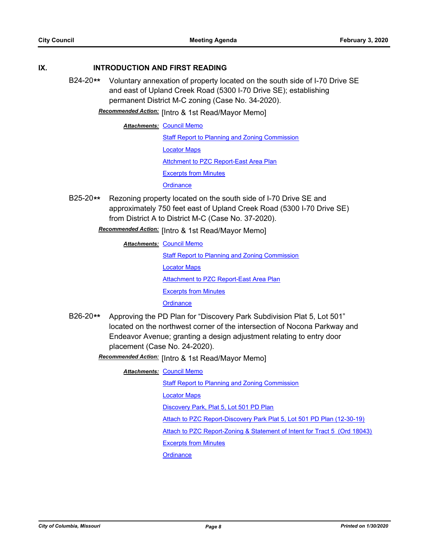### **IX. INTRODUCTION AND FIRST READING**

- B24-20**\*\*** Voluntary annexation of property located on the south side of I-70 Drive SE and east of Upland Creek Road (5300 I-70 Drive SE); establishing permanent District M-C zoning (Case No. 34-2020).
	- **Recommended Action:** [Intro & 1st Read/Mayor Memo]

**Attachments: [Council Memo](http://gocolumbiamo.legistar.com/gateway.aspx?M=F&ID=f079bd73-3a7c-4a7c-bbca-022283d9a609.docx)** [Staff Report to Planning and Zoning Commission](http://gocolumbiamo.legistar.com/gateway.aspx?M=F&ID=73b0c01e-b969-41bf-b9f1-cfa59642e183.docx) [Locator Maps](http://gocolumbiamo.legistar.com/gateway.aspx?M=F&ID=c7760c49-d7b6-4d55-93a5-cee6852224c4.pdf) [Attchment to PZC Report-East Area Plan](http://gocolumbiamo.legistar.com/gateway.aspx?M=F&ID=7f5b7100-bbf0-47e4-8ad6-80b57bea1338.pdf) [Excerpts from Minutes](http://gocolumbiamo.legistar.com/gateway.aspx?M=F&ID=d0ad36ad-d36e-49e8-b330-f1bb99a3feee.docx) **[Ordinance](http://gocolumbiamo.legistar.com/gateway.aspx?M=F&ID=4889bd2e-68fe-4c50-8336-685d6a449945.doc)** 

B25-20**\*\*** Rezoning property located on the south side of I-70 Drive SE and approximately 750 feet east of Upland Creek Road (5300 I-70 Drive SE) from District A to District M-C (Case No. 37-2020).

Recommended Action: [Intro & 1st Read/Mayor Memo]

**Attachments: [Council Memo](http://gocolumbiamo.legistar.com/gateway.aspx?M=F&ID=edc7f3d6-7bcd-4297-add8-fbfaceb4a625.docx)** [Staff Report to Planning and Zoning Commission](http://gocolumbiamo.legistar.com/gateway.aspx?M=F&ID=da47f2b3-1dfc-4cef-be8e-116ab5de2aed.docx) [Locator Maps](http://gocolumbiamo.legistar.com/gateway.aspx?M=F&ID=9253809e-f303-4def-8c84-f7eb078b9a0c.pdf) [Attachment to PZC Report-East Area Plan](http://gocolumbiamo.legistar.com/gateway.aspx?M=F&ID=df757a80-1152-4ca2-a34c-2dc0dc802313.pdf) [Excerpts from Minutes](http://gocolumbiamo.legistar.com/gateway.aspx?M=F&ID=be7ad77a-ff01-446f-bf26-9aeb4a0521db.docx) **[Ordinance](http://gocolumbiamo.legistar.com/gateway.aspx?M=F&ID=ddc7b242-eeaf-43e1-96fa-fe6b668e9254.doc)** 

B26-20**\*\*** Approving the PD Plan for "Discovery Park Subdivision Plat 5, Lot 501" located on the northwest corner of the intersection of Nocona Parkway and Endeavor Avenue; granting a design adjustment relating to entry door placement (Case No. 24-2020).

Recommended Action: [Intro & 1st Read/Mayor Memo]

**Attachments: [Council Memo](http://gocolumbiamo.legistar.com/gateway.aspx?M=F&ID=d4a583e9-85ea-4d9c-b6f2-7086b806806b.docx)** 

[Staff Report to Planning and Zoning Commission](http://gocolumbiamo.legistar.com/gateway.aspx?M=F&ID=640861d3-7c31-43ca-b2d9-020e75922dde.docx)

[Locator Maps](http://gocolumbiamo.legistar.com/gateway.aspx?M=F&ID=f0c11ff7-1b36-491d-999e-2d67bfa96071.pdf)

[Discovery Park, Plat 5, Lot 501 PD Plan](http://gocolumbiamo.legistar.com/gateway.aspx?M=F&ID=27cee9e4-ce46-41ba-baee-62221268b60f.pdf)

[Attach to PZC Report-Discovery Park Plat 5, Lot 501 PD Plan \(12-30-19\)](http://gocolumbiamo.legistar.com/gateway.aspx?M=F&ID=aa1ec8cb-9f15-463a-bac1-2c358bd791ea.pdf)

[Attach to PZC Report-Zoning & Statement of Intent for Tract 5 \(Ord 18043\)](http://gocolumbiamo.legistar.com/gateway.aspx?M=F&ID=7dfdd6f7-1b8b-4c30-b775-d40630d180ea.pdf)

[Excerpts from Minutes](http://gocolumbiamo.legistar.com/gateway.aspx?M=F&ID=5325cf3c-084c-40aa-a669-3979864fd0c7.docx)

**[Ordinance](http://gocolumbiamo.legistar.com/gateway.aspx?M=F&ID=f3ba8bdb-249d-4be4-b3d4-06699c7bdfbe.doc)**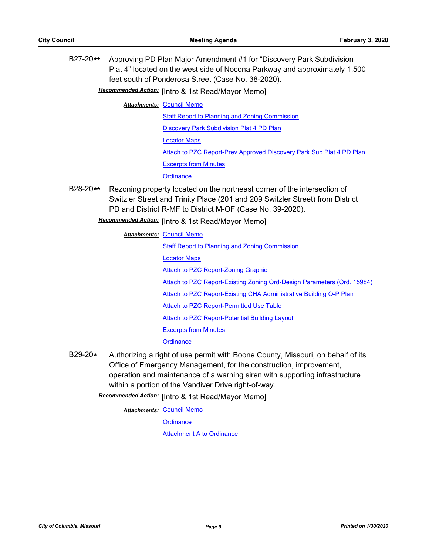B27-20**\*\*** Approving PD Plan Major Amendment #1 for "Discovery Park Subdivision Plat 4" located on the west side of Nocona Parkway and approximately 1,500 feet south of Ponderosa Street (Case No. 38-2020).

**Recommended Action:** [Intro & 1st Read/Mayor Memo]

**Attachments: [Council Memo](http://gocolumbiamo.legistar.com/gateway.aspx?M=F&ID=3104af27-ace8-4e5f-a972-313169683d69.docx)** 

[Staff Report to Planning and Zoning Commission](http://gocolumbiamo.legistar.com/gateway.aspx?M=F&ID=9fe892e1-42db-4f35-ab57-1b920fa8a54a.docx)

[Discovery Park Subdivision Plat 4 PD Plan](http://gocolumbiamo.legistar.com/gateway.aspx?M=F&ID=812c2057-957c-4c06-b14b-608975142b48.pdf)

[Locator Maps](http://gocolumbiamo.legistar.com/gateway.aspx?M=F&ID=a17e4629-47f1-4db5-a3b6-c21c350dcc91.pdf)

[Attach to PZC Report-Prev Approved Discovery Park Sub Plat 4 PD Plan](http://gocolumbiamo.legistar.com/gateway.aspx?M=F&ID=c870e566-0e42-464b-828b-b667b938e7a8.pdf)

[Excerpts from Minutes](http://gocolumbiamo.legistar.com/gateway.aspx?M=F&ID=32ac815c-f9c0-4580-897f-ad30da89b8cd.docx)

**[Ordinance](http://gocolumbiamo.legistar.com/gateway.aspx?M=F&ID=0304c458-418b-4176-9698-4481cca5139d.doc)** 

B28-20**\*\*** Rezoning property located on the northeast corner of the intersection of Switzler Street and Trinity Place (201 and 209 Switzler Street) from District PD and District R-MF to District M-OF (Case No. 39-2020).

Recommended Action: [Intro & 1st Read/Mayor Memo]

#### **Attachments: [Council Memo](http://gocolumbiamo.legistar.com/gateway.aspx?M=F&ID=72cc4a2d-5ef1-479f-a277-105f9346dc6d.docx)**

[Staff Report to Planning and Zoning Commission](http://gocolumbiamo.legistar.com/gateway.aspx?M=F&ID=688c6f7f-5c5e-476f-a7fe-7217d87c2078.docx) [Locator Maps](http://gocolumbiamo.legistar.com/gateway.aspx?M=F&ID=4c1a9feb-40ae-4d55-919b-6c15e128a935.pdf) **[Attach to PZC Report-Zoning Graphic](http://gocolumbiamo.legistar.com/gateway.aspx?M=F&ID=dcfd2533-845c-4ec0-87e7-d3fc3a2cc12c.pdf)** [Attach to PZC Report-Existing Zoning Ord-Design Parameters \(Ord. 15984\)](http://gocolumbiamo.legistar.com/gateway.aspx?M=F&ID=3ed41f38-5b5f-48ba-99a7-de5a9bcfe55d.pdf) [Attach to PZC Report-Existing CHA Administrative Building O-P Plan](http://gocolumbiamo.legistar.com/gateway.aspx?M=F&ID=536ad2c8-fe89-4749-a54b-b6c2ff19c590.pdf) [Attach to PZC Report-Permitted Use Table](http://gocolumbiamo.legistar.com/gateway.aspx?M=F&ID=4a6560cf-5835-4d56-a64e-3a0755dd4622.pdf) [Attach to PZC Report-Potential Building Layout](http://gocolumbiamo.legistar.com/gateway.aspx?M=F&ID=df7eb119-8113-496e-8959-95ceac99b88b.pdf) [Excerpts from Minutes](http://gocolumbiamo.legistar.com/gateway.aspx?M=F&ID=5dfbb1a7-d344-405d-8bee-e0769370fd77.docx) **[Ordinance](http://gocolumbiamo.legistar.com/gateway.aspx?M=F&ID=31f9d29a-8691-4220-b3b1-0bad8af6972f.doc)** 

B29-20**\*** Authorizing a right of use permit with Boone County, Missouri, on behalf of its Office of Emergency Management, for the construction, improvement, operation and maintenance of a warning siren with supporting infrastructure within a portion of the Vandiver Drive right-of-way.

**Recommended Action:** [Intro & 1st Read/Mayor Memo]

**Attachments: [Council Memo](http://gocolumbiamo.legistar.com/gateway.aspx?M=F&ID=59ee6517-6b61-4391-a3d1-6724ef63c50a.docx)** 

**[Ordinance](http://gocolumbiamo.legistar.com/gateway.aspx?M=F&ID=6a708b64-9336-4ab2-b0f1-2f12bc026bf6.doc)** 

[Attachment A to Ordinance](http://gocolumbiamo.legistar.com/gateway.aspx?M=F&ID=9f5b50a3-4191-4257-a48b-f97824b46d8a.pdf)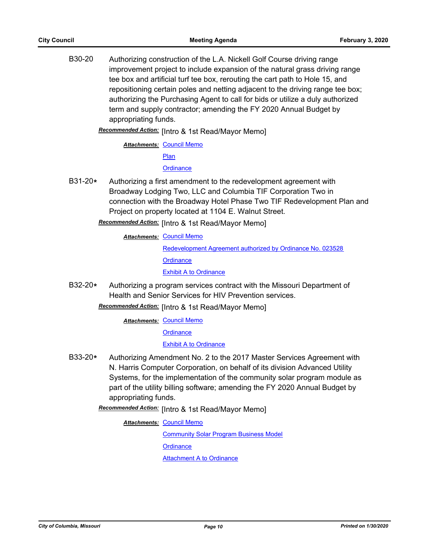B30-20 Authorizing construction of the L.A. Nickell Golf Course driving range improvement project to include expansion of the natural grass driving range tee box and artificial turf tee box, rerouting the cart path to Hole 15, and repositioning certain poles and netting adjacent to the driving range tee box; authorizing the Purchasing Agent to call for bids or utilize a duly authorized term and supply contractor; amending the FY 2020 Annual Budget by appropriating funds.

Recommended Action: [Intro & 1st Read/Mayor Memo]

**Attachments: [Council Memo](http://gocolumbiamo.legistar.com/gateway.aspx?M=F&ID=40815c8b-cca1-46ac-af3d-41bfa867b78a.docx)** 

[Plan](http://gocolumbiamo.legistar.com/gateway.aspx?M=F&ID=060c2092-c840-4912-812a-b68d93325ab1.pdf)

**[Ordinance](http://gocolumbiamo.legistar.com/gateway.aspx?M=F&ID=8034b5d8-42db-43fb-9413-a4dd62f49d64.doc)** 

B31-20**\*** Authorizing a first amendment to the redevelopment agreement with Broadway Lodging Two, LLC and Columbia TIF Corporation Two in connection with the Broadway Hotel Phase Two TIF Redevelopment Plan and Project on property located at 1104 E. Walnut Street.

Recommended Action: [Intro & 1st Read/Mayor Memo]

**Attachments: [Council Memo](http://gocolumbiamo.legistar.com/gateway.aspx?M=F&ID=143e061d-547c-4723-81b5-f168140504bd.docx)** 

[Redevelopment Agreement authorized by Ordinance No. 023528](http://gocolumbiamo.legistar.com/gateway.aspx?M=F&ID=fae62369-c2d8-4cba-b0b4-588cf6cf2e3c.pdf) **[Ordinance](http://gocolumbiamo.legistar.com/gateway.aspx?M=F&ID=545acd2d-b5cf-424d-a947-eb1ee3cb7e88.doc)** [Exhibit A to Ordinance](http://gocolumbiamo.legistar.com/gateway.aspx?M=F&ID=0641c114-18aa-434c-8d80-1854d7583cfe.pdf)

B32-20**\*** Authorizing a program services contract with the Missouri Department of Health and Senior Services for HIV Prevention services.

Recommended Action: [Intro & 1st Read/Mayor Memo]

**Attachments: [Council Memo](http://gocolumbiamo.legistar.com/gateway.aspx?M=F&ID=398d0327-4aca-48a7-9082-cf57d3668213.docx)** 

**[Ordinance](http://gocolumbiamo.legistar.com/gateway.aspx?M=F&ID=1ea08cab-0625-4326-84ff-038e13a392d3.doc)** 

#### [Exhibit A to Ordinance](http://gocolumbiamo.legistar.com/gateway.aspx?M=F&ID=6ad86e8f-b55b-4239-9842-46cabdef8708.pdf)

B33-20**\*** Authorizing Amendment No. 2 to the 2017 Master Services Agreement with N. Harris Computer Corporation, on behalf of its division Advanced Utility Systems, for the implementation of the community solar program module as part of the utility billing software; amending the FY 2020 Annual Budget by appropriating funds.

Recommended Action: [Intro & 1st Read/Mayor Memo]

**Attachments: [Council Memo](http://gocolumbiamo.legistar.com/gateway.aspx?M=F&ID=27806969-1a47-4876-9069-57a312a0e296.docx)** 

[Community Solar Program Business Model](http://gocolumbiamo.legistar.com/gateway.aspx?M=F&ID=9690e5c1-a7d7-4373-81f8-f3358f14c5ec.docx)

**[Ordinance](http://gocolumbiamo.legistar.com/gateway.aspx?M=F&ID=a729dc81-2ba9-4e70-8281-68317ed427f3.doc)** 

**[Attachment A to Ordinance](http://gocolumbiamo.legistar.com/gateway.aspx?M=F&ID=5b75112f-4fb1-4d3e-8177-b8e136c48627.pdf)**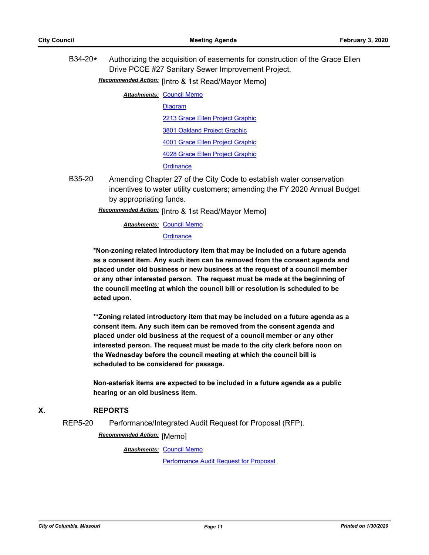B34-20**\*** Authorizing the acquisition of easements for construction of the Grace Ellen Drive PCCE #27 Sanitary Sewer Improvement Project.

Recommended Action: [Intro & 1st Read/Mayor Memo]

**Attachments: [Council Memo](http://gocolumbiamo.legistar.com/gateway.aspx?M=F&ID=0599f78f-9d32-4c6f-9451-d4690efd6c6c.docx)** 

- [Diagram](http://gocolumbiamo.legistar.com/gateway.aspx?M=F&ID=a9795acb-6a44-4028-aa7f-61cf6f5d7719.pdf) [2213 Grace Ellen Project Graphic](http://gocolumbiamo.legistar.com/gateway.aspx?M=F&ID=e60d3888-a60a-4d7c-8d45-dc10111fc039.pdf) [3801 Oakland Project Graphic](http://gocolumbiamo.legistar.com/gateway.aspx?M=F&ID=d41e188d-27d8-4e59-8831-409483702368.pdf) [4001 Grace Ellen Project Graphic](http://gocolumbiamo.legistar.com/gateway.aspx?M=F&ID=82d0c5aa-90d6-4a3a-ab28-c2745db4101e.pdf) [4028 Grace Ellen Project Graphic](http://gocolumbiamo.legistar.com/gateway.aspx?M=F&ID=55a8cbc1-09aa-46c5-817e-1d5556ca34a6.pdf) **[Ordinance](http://gocolumbiamo.legistar.com/gateway.aspx?M=F&ID=98bd33a9-5f96-4821-afb7-5782ca9a86b3.doc)**
- B35-20 Amending Chapter 27 of the City Code to establish water conservation incentives to water utility customers; amending the FY 2020 Annual Budget by appropriating funds.

Recommended Action: [Intro & 1st Read/Mayor Memo]

**Attachments: [Council Memo](http://gocolumbiamo.legistar.com/gateway.aspx?M=F&ID=ca428dbf-f81a-460c-8eb5-c7506ffe6e36.docx)** 

#### **[Ordinance](http://gocolumbiamo.legistar.com/gateway.aspx?M=F&ID=364e38e4-7f7a-4f7c-b874-b6e885bcb764.doc)**

**\*Non-zoning related introductory item that may be included on a future agenda as a consent item. Any such item can be removed from the consent agenda and placed under old business or new business at the request of a council member or any other interested person. The request must be made at the beginning of the council meeting at which the council bill or resolution is scheduled to be acted upon.** 

**\*\*Zoning related introductory item that may be included on a future agenda as a consent item. Any such item can be removed from the consent agenda and placed under old business at the request of a council member or any other interested person. The request must be made to the city clerk before noon on the Wednesday before the council meeting at which the council bill is scheduled to be considered for passage.**

**Non-asterisk items are expected to be included in a future agenda as a public hearing or an old business item.**

## **X. REPORTS**

REP5-20 Performance/Integrated Audit Request for Proposal (RFP).

**Recommended Action:** [Memo]

**Attachments: [Council Memo](http://gocolumbiamo.legistar.com/gateway.aspx?M=F&ID=b61b75a4-0beb-46f6-9eb5-a41de5d585fc.docx)** 

[Performance Audit Request for Proposal](http://gocolumbiamo.legistar.com/gateway.aspx?M=F&ID=e6bcf8a3-c86b-4eed-b52b-1f295cf141b9.docx)